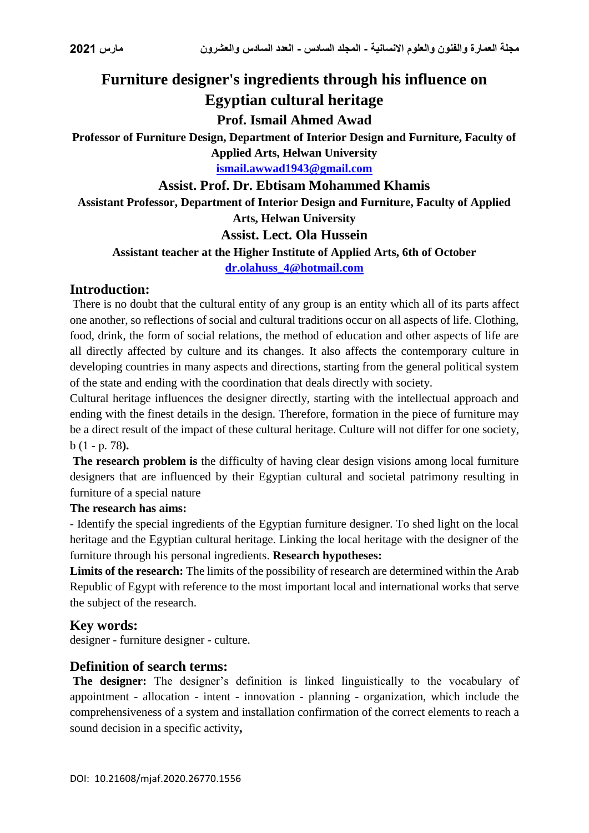# **Furniture designer's ingredients through his influence on Egyptian cultural heritage**

## **Prof. Ismail Ahmed Awad**

**Professor of Furniture Design, Department of Interior Design and Furniture, Faculty of Applied Arts, Helwan University**

**[ismail.awwad1943@gmail.com](mailto:ismail.awwad1943@gmail.com)**

## **Assist. Prof. Dr. Ebtisam Mohammed Khamis**

**Assistant Professor, Department of Interior Design and Furniture, Faculty of Applied** 

**Arts, Helwan University**

### **Assist. Lect. Ola Hussein**

### **Assistant teacher at the Higher Institute of Applied Arts, 6th of October**

**[dr.olahuss\\_4@hotmail.com](mailto:dr.olahuss_4@hotmail.com)**

## **Introduction:**

There is no doubt that the cultural entity of any group is an entity which all of its parts affect one another, so reflections of social and cultural traditions occur on all aspects of life. Clothing, food, drink, the form of social relations, the method of education and other aspects of life are all directly affected by culture and its changes. It also affects the contemporary culture in developing countries in many aspects and directions, starting from the general political system of the state and ending with the coordination that deals directly with society.

Cultural heritage influences the designer directly, starting with the intellectual approach and ending with the finest details in the design. Therefore, formation in the piece of furniture may be a direct result of the impact of these cultural heritage. Culture will not differ for one society, b (1 - p. 78**).**

**The research problem is** the difficulty of having clear design visions among local furniture designers that are influenced by their Egyptian cultural and societal patrimony resulting in furniture of a special nature

#### **The research has aims:**

- Identify the special ingredients of the Egyptian furniture designer. To shed light on the local heritage and the Egyptian cultural heritage. Linking the local heritage with the designer of the furniture through his personal ingredients. **Research hypotheses:** 

**Limits of the research:** The limits of the possibility of research are determined within the Arab Republic of Egypt with reference to the most important local and international works that serve the subject of the research.

## **Key words:**

designer - furniture designer - culture.

## **Definition of search terms:**

**The designer:** The designer's definition is linked linguistically to the vocabulary of appointment - allocation - intent - innovation - planning - organization, which include the comprehensiveness of a system and installation confirmation of the correct elements to reach a sound decision in a specific activity**,**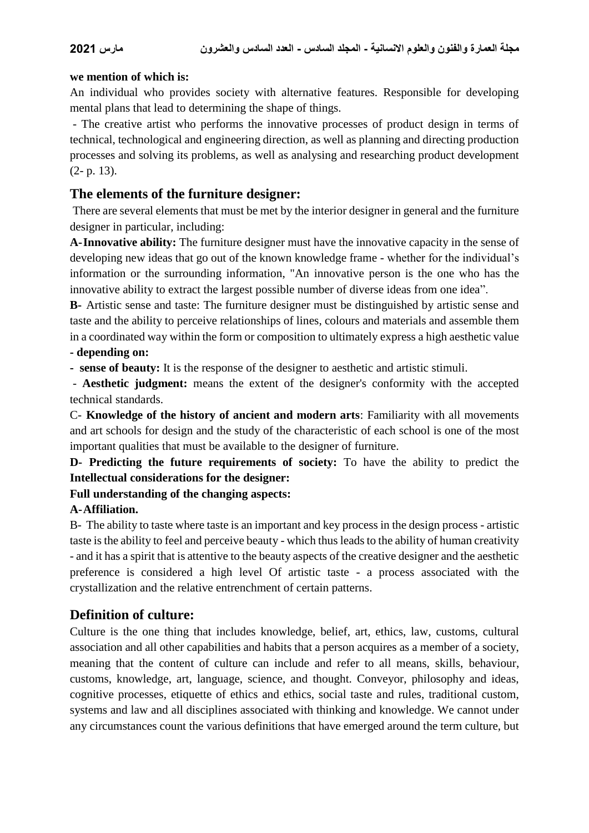#### **we mention of which is:**

An individual who provides society with alternative features. Responsible for developing mental plans that lead to determining the shape of things.

- The creative artist who performs the innovative processes of product design in terms of technical, technological and engineering direction, as well as planning and directing production processes and solving its problems, as well as analysing and researching product development (2- p. 13).

## **The elements of the furniture designer:**

There are several elements that must be met by the interior designer in general and the furniture designer in particular, including:

**A-Innovative ability:** The furniture designer must have the innovative capacity in the sense of developing new ideas that go out of the known knowledge frame - whether for the individual's information or the surrounding information, "An innovative person is the one who has the innovative ability to extract the largest possible number of diverse ideas from one idea".

**B-** Artistic sense and taste: The furniture designer must be distinguished by artistic sense and taste and the ability to perceive relationships of lines, colours and materials and assemble them in a coordinated way within the form or composition to ultimately express a high aesthetic value **- depending on:**

**- sense of beauty:** It is the response of the designer to aesthetic and artistic stimuli.

- **Aesthetic judgment:** means the extent of the designer's conformity with the accepted technical standards.

C- **Knowledge of the history of ancient and modern arts**: Familiarity with all movements and art schools for design and the study of the characteristic of each school is one of the most important qualities that must be available to the designer of furniture.

**D- Predicting the future requirements of society:** To have the ability to predict the **Intellectual considerations for the designer:**

#### **Full understanding of the changing aspects:**

#### **A-Affiliation.**

B- The ability to taste where taste is an important and key process in the design process - artistic taste is the ability to feel and perceive beauty - which thus leads to the ability of human creativity - and it has a spirit that is attentive to the beauty aspects of the creative designer and the aesthetic preference is considered a high level Of artistic taste - a process associated with the crystallization and the relative entrenchment of certain patterns.

## **Definition of culture:**

Culture is the one thing that includes knowledge, belief, art, ethics, law, customs, cultural association and all other capabilities and habits that a person acquires as a member of a society, meaning that the content of culture can include and refer to all means, skills, behaviour, customs, knowledge, art, language, science, and thought. Conveyor, philosophy and ideas, cognitive processes, etiquette of ethics and ethics, social taste and rules, traditional custom, systems and law and all disciplines associated with thinking and knowledge. We cannot under any circumstances count the various definitions that have emerged around the term culture, but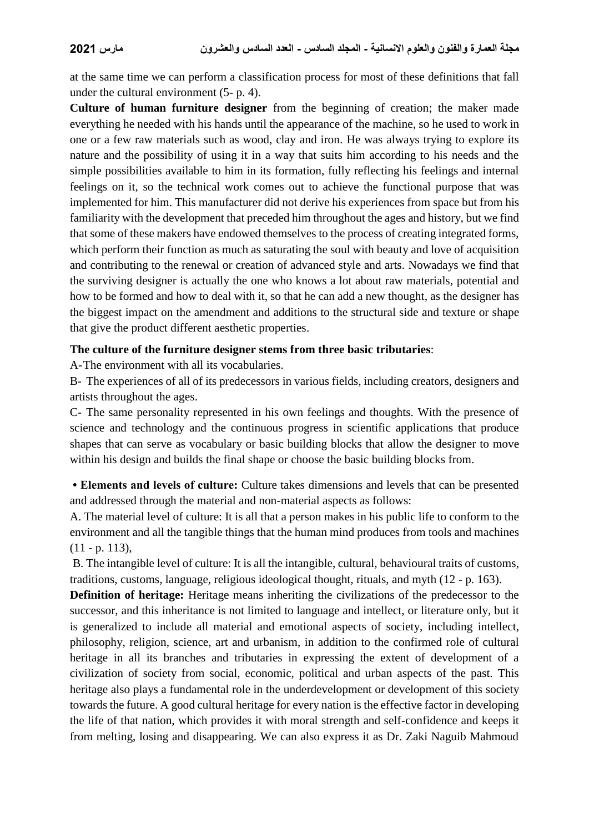at the same time we can perform a classification process for most of these definitions that fall under the cultural environment (5- p. 4).

**Culture of human furniture designer** from the beginning of creation; the maker made everything he needed with his hands until the appearance of the machine, so he used to work in one or a few raw materials such as wood, clay and iron. He was always trying to explore its nature and the possibility of using it in a way that suits him according to his needs and the simple possibilities available to him in its formation, fully reflecting his feelings and internal feelings on it, so the technical work comes out to achieve the functional purpose that was implemented for him. This manufacturer did not derive his experiences from space but from his familiarity with the development that preceded him throughout the ages and history, but we find that some of these makers have endowed themselves to the process of creating integrated forms, which perform their function as much as saturating the soul with beauty and love of acquisition and contributing to the renewal or creation of advanced style and arts. Nowadays we find that the surviving designer is actually the one who knows a lot about raw materials, potential and how to be formed and how to deal with it, so that he can add a new thought, as the designer has the biggest impact on the amendment and additions to the structural side and texture or shape that give the product different aesthetic properties.

#### **The culture of the furniture designer stems from three basic tributaries**:

A-The environment with all its vocabularies.

B- The experiences of all of its predecessors in various fields, including creators, designers and artists throughout the ages.

C- The same personality represented in his own feelings and thoughts. With the presence of science and technology and the continuous progress in scientific applications that produce shapes that can serve as vocabulary or basic building blocks that allow the designer to move within his design and builds the final shape or choose the basic building blocks from.

**• Elements and levels of culture:** Culture takes dimensions and levels that can be presented and addressed through the material and non-material aspects as follows:

A. The material level of culture: It is all that a person makes in his public life to conform to the environment and all the tangible things that the human mind produces from tools and machines  $(11 - p. 113)$ ,

B. The intangible level of culture: It is all the intangible, cultural, behavioural traits of customs, traditions, customs, language, religious ideological thought, rituals, and myth (12 - p. 163).

**Definition of heritage:** Heritage means inheriting the civilizations of the predecessor to the successor, and this inheritance is not limited to language and intellect, or literature only, but it is generalized to include all material and emotional aspects of society, including intellect, philosophy, religion, science, art and urbanism, in addition to the confirmed role of cultural heritage in all its branches and tributaries in expressing the extent of development of a civilization of society from social, economic, political and urban aspects of the past. This heritage also plays a fundamental role in the underdevelopment or development of this society towards the future. A good cultural heritage for every nation is the effective factor in developing the life of that nation, which provides it with moral strength and self-confidence and keeps it from melting, losing and disappearing. We can also express it as Dr. Zaki Naguib Mahmoud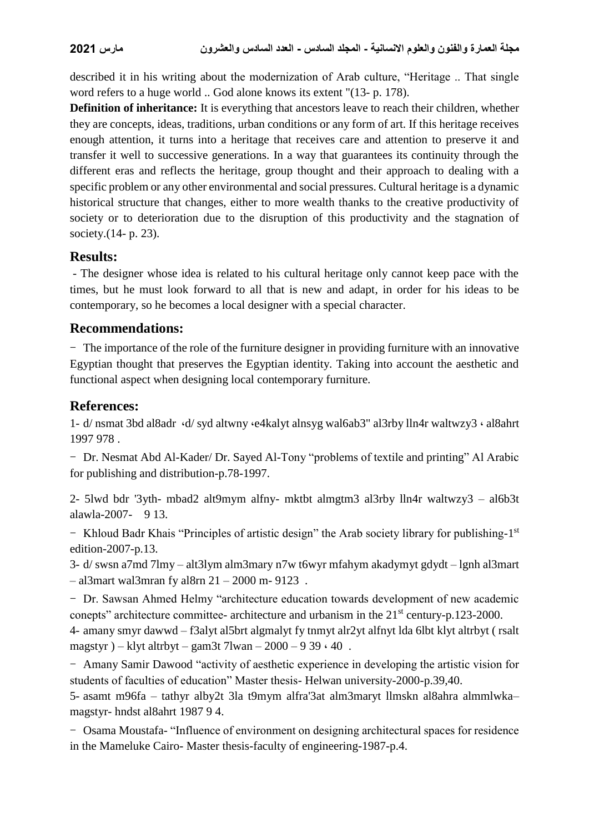described it in his writing about the modernization of Arab culture, "Heritage .. That single word refers to a huge world .. God alone knows its extent "(13- p. 178).

**Definition of inheritance:** It is everything that ancestors leave to reach their children, whether they are concepts, ideas, traditions, urban conditions or any form of art. If this heritage receives enough attention, it turns into a heritage that receives care and attention to preserve it and transfer it well to successive generations. In a way that guarantees its continuity through the different eras and reflects the heritage, group thought and their approach to dealing with a specific problem or any other environmental and social pressures. Cultural heritage is a dynamic historical structure that changes, either to more wealth thanks to the creative productivity of society or to deterioration due to the disruption of this productivity and the stagnation of society.(14- p. 23).

## **Results:**

- The designer whose idea is related to his cultural heritage only cannot keep pace with the times, but he must look forward to all that is new and adapt, in order for his ideas to be contemporary, so he becomes a local designer with a special character.

## **Recommendations:**

- The importance of the role of the furniture designer in providing furniture with an innovative Egyptian thought that preserves the Egyptian identity. Taking into account the aesthetic and functional aspect when designing local contemporary furniture.

## **References:**

1- d/ nsmat 3bd al8adr ،d/ syd altwny ،e4kalyt alnsyg wal6ab3" al3rby lln4r waltwzy3 ، al8ahrt 1997 978 .

- Dr. Nesmat Abd Al-Kader/ Dr. Sayed Al-Tony "problems of textile and printing" Al Arabic for publishing and distribution-p.78-1997.

2- 5lwd bdr '3yth- mbad2 alt9mym alfny- mktbt almgtm3 al3rby lln4r waltwzy3 – al6b3t alawla-2007- 9 13.

- Khloud Badr Khais "Principles of artistic design" the Arab society library for publishing-1<sup>st</sup> edition-2007-p.13.

3- d/ swsn a7md 7lmy – alt3lym alm3mary n7w t6wyr mfahym akadymyt gdydt – lgnh al3mart – al3mart wal3mran fy al8rn 21 – 2000 m- 9123 .

- Dr. Sawsan Ahmed Helmy "architecture education towards development of new academic conepts" architecture committee- architecture and urbanism in the 21st century-p.123-2000.

4- amany smyr dawwd – f3alyt al5brt algmalyt fy tnmyt alr2yt alfnyt lda 6lbt klyt altrbyt ( rsalt magstyr) – klyt altrbyt – gam $3t$  7lwan – 2000 – 9 39  $\cdot$  40.

- Amany Samir Dawood "activity of aesthetic experience in developing the artistic vision for students of faculties of education" Master thesis- Helwan university-2000-p.39,40.

5- asamt m96fa – tathyr alby2t 3la t9mym alfra'3at alm3maryt llmskn al8ahra almmlwka– magstyr- hndst al8ahrt 1987 9 4.

- Osama Moustafa- "Influence of environment on designing architectural spaces for residence in the Mameluke Cairo- Master thesis-faculty of engineering-1987-p.4.